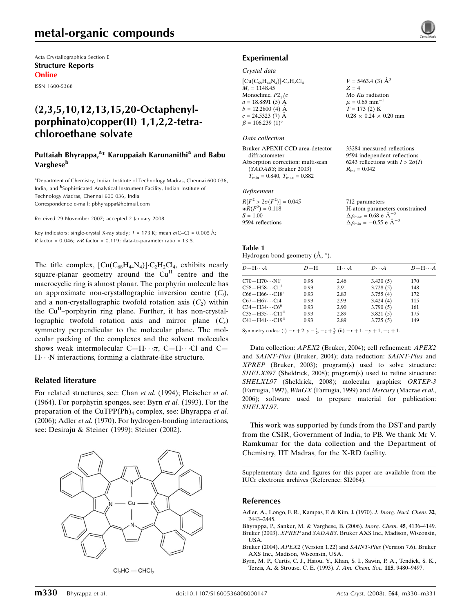Acta Crystallographica Section E Structure Reports Online

ISSN 1600-5368

# (2,3,5,10,12,13,15,20-Octaphenylporphinato)copper(II) 1,1,2,2-tetrachloroethane solvate

## Puttaiah Bhyrappa,<sup>a\*</sup> Karuppaiah Karunanithi<sup>a</sup> and Babu Varghese<sup>b</sup>

<sup>a</sup>Department of Chemistry, Indian Institute of Technology Madras, Chennai 600 036, India, and <sup>b</sup>Sophisticated Analytical Instrument Facility, Indian Institute of Technology Madras, Chennai 600 036, India Correspondence e-mail: pbhyrappa@hotmail.com

Received 29 November 2007; accepted 2 January 2008

Key indicators: single-crystal X-ray study;  $T = 173$  K; mean  $\sigma$ (C–C) = 0.005 Å; R factor =  $0.046$ ; wR factor =  $0.119$ ; data-to-parameter ratio =  $13.5$ .

The title complex,  $\left[\text{Cu}(C_{68}H_{44}N_4)\right] \cdot C_2H_2Cl_4$ , exhibits nearly square-planar geometry around the  $Cu<sup>H</sup>$  centre and the macrocyclic ring is almost planar. The porphyrin molecule has an approximate non-crystallographic inversion centre  $(C_i)$ , and a non-crystallographic twofold rotation axis  $(C_2)$  within the  $Cu<sup>II</sup>$ -porphyrin ring plane. Further, it has non-crystallographic twofold rotation axis and mirror plane  $(C_s)$ symmetry perpendicular to the molecular plane. The molecular packing of the complexes and the solvent molecules shows weak intermolecular  $C-H\cdots \pi$ ,  $C-H\cdots C1$  and  $C H \cdot \cdot N$  interactions, forming a clathrate-like structure.

### Related literature

For related structures, see: Chan et al. (1994); Fleischer et al. (1964). For porphyrin sponges, see: Byrn et al. (1993). For the preparation of the CuTPP(Ph)<sub>4</sub> complex, see: Bhyrappa et al. (2006); Adler et al. (1970). For hydrogen-bonding interactions, see: Desiraju & Steiner (1999); Steiner (2002).



 $Cl<sub>2</sub>HC$  - CHCl<sub>2</sub>



#### Crystal data

| $[Cu(C_{68}H_{44}N_4)] \cdot C_2H_2Cl_4$ | $V = 5463.4$ (3) $\AA^3$          |
|------------------------------------------|-----------------------------------|
| $M_r = 1148.45$                          | $Z = 4$                           |
| Monoclinic, $P2_1/c$                     | Mo $K\alpha$ radiation            |
| $a = 18.8891(5)$ Å                       | $\mu = 0.65$ mm <sup>-1</sup>     |
| $b = 12.2800$ (4) Å                      | $T = 173(2)$ K                    |
| $c = 24.5323(7)$ Å                       | $0.28 \times 0.24 \times 0.20$ mm |
| $\beta = 106.239(1)$ °                   |                                   |

### Data collection

Bruker APEXII CCD area-detector diffractometer Absorption correction: multi-scan (SADABS; Bruker 2003)  $T_{\text{min}} = 0.840, T_{\text{max}} = 0.882$ 

#### Refinement

| $R[F^2 > 2\sigma(F^2)] = 0.045$ | 712 parameters                                     |
|---------------------------------|----------------------------------------------------|
| $wR(F^2) = 0.118$               | H-atom parameters constrained                      |
| $S = 1.00$                      | $\Delta \rho_{\text{max}} = 0.68 \text{ e A}^{-3}$ |
| 9594 reflections                | $\Delta \rho_{\text{min}} = -0.55$ e $\AA^{-3}$    |

33284 measured reflections 9594 independent reflections 6243 reflections with  $I > 2\sigma(I)$ 

 $R_{\text{int}} = 0.042$ 

| Table 1 |                                       |  |  |
|---------|---------------------------------------|--|--|
|         | Hydrogen-bond geometry $(A, \circ)$ . |  |  |

| $D - H \cdots A$                    | $D-H$ | $H \cdot \cdot \cdot A$ | $D\cdot\cdot\cdot A$ | $D - H \cdots A$ |
|-------------------------------------|-------|-------------------------|----------------------|------------------|
| $C70 - H70 \cdots N1^i$             | 0.98  | 2.46                    | 3.430(5)             | 170              |
| $C58 - H58 \cdots C11$ <sup>i</sup> | 0.93  | 2.91                    | 3.728(5)             | 148              |
| $C66 - H66 \cdots C18^{i}$          | 0.93  | 2.83                    | 3.755(4)             | 172              |
| $C67 - H67 \cdots C14$              | 0.93  | 2.93                    | 3.424(4)             | 115              |
| $C34 - H34 \cdots C6$ <sup>ii</sup> | 0.93  | 2.90                    | 3.790(5)             | 161              |
| $C35 - H35 \cdots C11^{11}$         | 0.93  | 2.89                    | 3.821(5)             | 175              |
| $C41 - H41 \cdots C19^{ii}$         | 0.93  | 2.89                    | 3.725(5)             | 149              |

Symmetry codes: (i)  $-x + 2$ ,  $y - \frac{1}{2}$ ,  $-z + \frac{3}{2}$ ; (ii)  $-x + 1$ ,  $-y + 1$ ,  $-z + 1$ .

Data collection: APEX2 (Bruker, 2004); cell refinement: APEX2 and SAINT-Plus (Bruker, 2004); data reduction: SAINT-Plus and XPREP (Bruker, 2003); program(s) used to solve structure: SHELXS97 (Sheldrick, 2008); program(s) used to refine structure: SHELXL97 (Sheldrick, 2008); molecular graphics: ORTEP-3 (Farrugia, 1997), WinGX (Farrugia, 1999) and Mercury (Macrae et al., 2006); software used to prepare material for publication: SHELXL97.

This work was supported by funds from the DST and partly from the CSIR, Government of India, to PB. We thank Mr V. Ramkumar for the data collection and the Department of Chemistry, IIT Madras, for the X-RD facility.

Supplementary data and figures for this paper are available from the IUCr electronic archives (Reference: SI2064).

### References

- Adler, A., Longo, F. R., Kampas, F. & Kim, J. (1970). J. Inorg. Nucl. Chem. 32, 2443–2445.
- Bhyrappa, P., Sanker, M. & Varghese, B. (2006). Inorg. Chem. 45, 4136–4149. Bruker (2003). XPREP and SADABS. Bruker AXS Inc., Madison, Wisconsin, USA.
- Bruker (2004). APEX2 (Version 1.22) and SAINT-Plus (Version 7.6), Bruker AXS Inc., Madison, Wisconsin, USA.
- Byrn, M. P., Curtis, C. J., Hsiou, Y., Khan, S. I., Sawin, P. A., Tendick, S. K., Terzis, A. & Strouse, C. E. (1993). J. Am. Chem. Soc. 115, 9480–9497.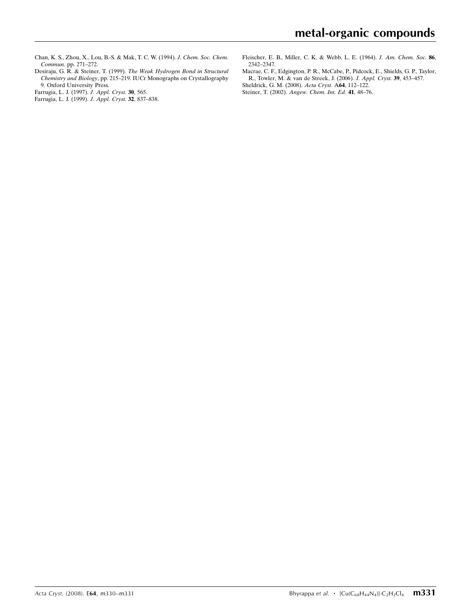Chan, K. S., Zhou, X., Lou, B.-S. & Mak, T. C. W. (1994). J. Chem. Soc. Chem. Commun. pp. 271–272.

Desiraju, G. R. & Steiner, T. (1999). The Weak Hydrogen Bond in Structural Chemistry and Biology, pp. 215–219. IUCr Monographs on Crystallography 9. Oxford University Press.

- Farrugia, L. J. (1997). J. Appl. Cryst. 30, 565.
- Farrugia, L. J. (1999). J. Appl. Cryst. 32, 837–838.

Fleischer, E. B., Miller, C. K. & Webb, L. E. (1964). J. Am. Chem. Soc. 86, 2342–2347.

- Macrae, C. F., Edgington, P. R., McCabe, P., Pidcock, E., Shields, G. P., Taylor, R., Towler, M. & van de Streek, J. (2006). J. Appl. Cryst. 39, 453–457. Sheldrick, G. M. (2008). Acta Cryst. A64, 112–122.
- Steiner, T. (2002). Angew. Chem. Int. Ed. 41, 48–76.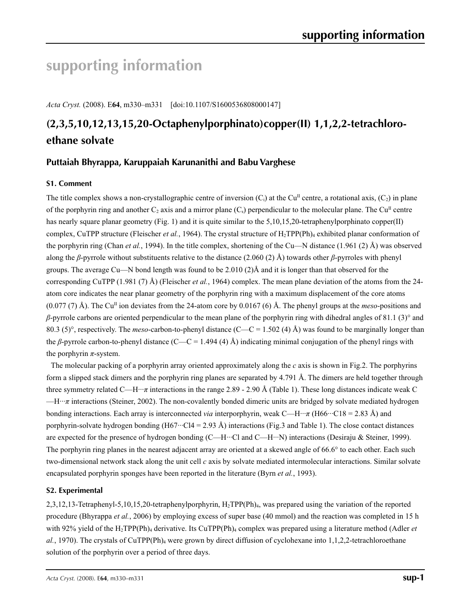# **supporting information**

*Acta Cryst.* (2008). E**64**, m330–m331 [doi:10.1107/S1600536808000147]

# **(2,3,5,10,12,13,15,20-Octaphenylporphinato)copper(II) 1,1,2,2-tetrachloroethane solvate**

# **Puttaiah Bhyrappa, Karuppaiah Karunanithi and Babu Varghese**

# **S1. Comment**

The title complex shows a non-crystallographic centre of inversion  $(C_i)$  at the Cu<sup>II</sup> centre, a rotational axis,  $(C_i)$  in plane of the porphyrin ring and another  $C_2$  axis and a mirror plane  $(C_s)$  perpendicular to the molecular plane. The Cu<sup>II</sup> centre has nearly square planar geometry (Fig. 1) and it is quite similar to the 5,10,15,20-tetraphenylporphinato copper(II) complex, CuTPP structure (Fleischer *et al.*, 1964). The crystal structure of  $H_2TPP(Ph)_4$  exhibited planar conformation of the porphyrin ring (Chan *et al.*, 1994). In the title complex, shortening of the Cu—N distance (1.961 (2) Å) was observed along the *β*-pyrrole without substituents relative to the distance (2.060 (2) Å) towards other *β*-pyrroles with phenyl groups. The average Cu—N bond length was found to be 2.010 (2) $\AA$  and it is longer than that observed for the corresponding CuTPP (1.981 (7) Å) (Fleischer *et al.*, 1964) complex. The mean plane deviation of the atoms from the 24 atom core indicates the near planar geometry of the porphyrin ring with a maximum displacement of the core atoms  $(0.077 \text{ (7) Å})$ . The Cu<sup>II</sup> ion deviates from the 24-atom core by 0.0167 (6) Å. The phenyl groups at the *meso*-positions and *β*-pyrrole carbons are oriented perpendicular to the mean plane of the porphyrin ring with dihedral angles of 81.1 (3)° and 80.3 (5)°, respectively. The *meso*-carbon-to-phenyl distance (C—C = 1.502 (4) Å) was found to be marginally longer than the *β*-pyrrole carbon-to-phenyl distance (C—C = 1.494 (4) Å) indicating minimal conjugation of the phenyl rings with the porphyrin  $\pi$ -system.

The molecular packing of a porphyrin array oriented approximately along the *c* axis is shown in Fig.2. The porphyrins form a slipped stack dimers and the porphyrin ring planes are separated by 4.791 Å. The dimers are held together through three symmetry related C—H···*π* interactions in the range 2.89 - 2.90 Å (Table 1). These long distances indicate weak C —H···*π* interactions (Steiner, 2002). The non-covalently bonded dimeric units are bridged by solvate mediated hydrogen bonding interactions. Each array is interconnected *via* interporphyrin, weak C—H···*π* (H66···C18 = 2.83 Å) and porphyrin-solvate hydrogen bonding (H67···Cl4 = 2.93 Å) interactions (Fig.3 and Table 1). The close contact distances are expected for the presence of hydrogen bonding (C—H···Cl and C—H···N) interactions (Desiraju & Steiner, 1999). The porphyrin ring planes in the nearest adjacent array are oriented at a skewed angle of 66.6° to each other. Each such two-dimensional network stack along the unit cell *c* axis by solvate mediated intermolecular interactions. Similar solvate encapsulated porphyrin sponges have been reported in the literature (Byrn *et al.*, 1993).

# **S2. Experimental**

2,3,12,13-Tetraphenyl-5,10,15,20-tetraphenylporphyrin, H2TPP(Ph)4, was prepared using the variation of the reported procedure (Bhyrappa *et al.*, 2006) by employing excess of super base (40 mmol) and the reaction was completed in 15 h with 92% yield of the H<sub>2</sub>TPP(Ph)<sub>4</sub> derivative. Its CuTPP(Ph)<sub>4</sub> complex was prepared using a literature method (Adler *et*  $al.$ , 1970). The crystals of CuTPP(Ph)<sub>4</sub> were grown by direct diffusion of cyclohexane into 1,1,2,2-tetrachloroethane solution of the porphyrin over a period of three days.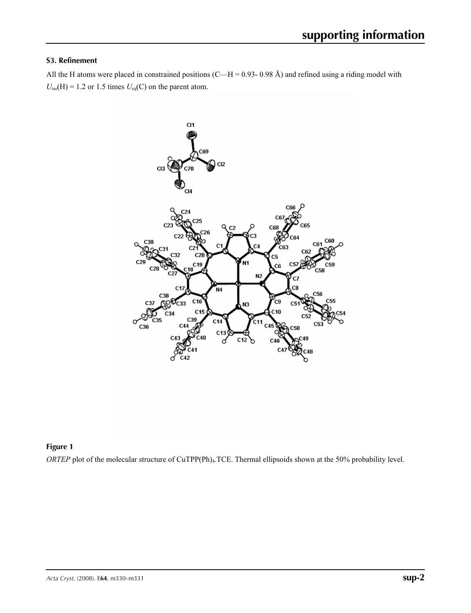## **S3. Refinement**

All the H atoms were placed in constrained positions (C—H = 0.93- 0.98 Å) and refined using a riding model with  $U_{iso}(H) = 1.2$  or 1.5 times  $U_{eq}(C)$  on the parent atom.



# **Figure 1**

*ORTEP* plot of the molecular structure of CuTPP(Ph)<sub>4</sub>.TCE. Thermal ellipsoids shown at the 50% probability level.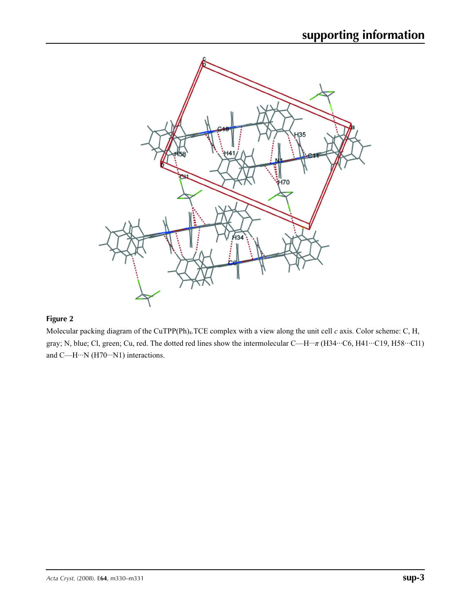

# **Figure 2**

Molecular packing diagram of the CuTPP(Ph)4.TCE complex with a view along the unit cell *c* axis. Color scheme: C, H, gray; N, blue; Cl, green; Cu, red. The dotted red lines show the intermolecular C—H···*π* (H34···C6, H41···C19, H58···Cl1) and C—H···N (H70···N1) interactions.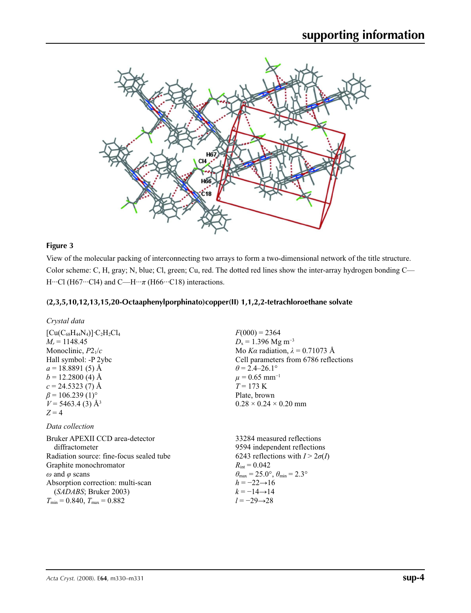

## **Figure 3**

View of the molecular packing of interconnecting two arrays to form a two-dimensional network of the title structure. Color scheme: C, H, gray; N, blue; Cl, green; Cu, red. The dotted red lines show the inter-array hydrogen bonding C— H…Cl (H67…Cl4) and C—H…*π* (H66…C18) interactions.

## **(2,3,5,10,12,13,15,20-Octaaphenylporphinato)copper(II) 1,1,2,2-tetrachloroethane solvate**

| $[Cu(C_{68}H_{44}N_4)]$ · $C_2H_2Cl_4$ |
|----------------------------------------|
| $M_r = 1148.45$                        |
| Monoclinic, $P2_1/c$                   |
| Hall symbol: -P 2ybc                   |
| $a = 18.8891(5)$ Å                     |
| $b = 12.2800$ (4) Å                    |
| $c = 24.5323(7)$ Å                     |
| $\beta$ = 106.239 (1) <sup>o</sup>     |
| $V = 5463.4(3)$ Å <sup>3</sup>         |
| $Z = 4$                                |

### *Data collection*

Bruker APEXII CCD area-detector diffractometer Radiation source: fine-focus sealed tube Graphite monochromator *ω* and *φ* scans Absorption correction: multi-scan (*SADABS*; Bruker 2003)  $T_{\text{min}} = 0.840, T_{\text{max}} = 0.882$ 

 $F(000) = 2364$  $D_x = 1.396$  Mg m<sup>-3</sup> Mo *Kα* radiation, *λ* = 0.71073 Å Cell parameters from 6786 reflections  $\theta$  = 2.4–26.1°  $\mu$  = 0.65 mm<sup>-1</sup> *T* = 173 K Plate, brown  $0.28 \times 0.24 \times 0.20$  mm

33284 measured reflections 9594 independent reflections 6243 reflections with  $I > 2\sigma(I)$  $R_{\text{int}} = 0.042$  $\theta_{\text{max}} = 25.0^{\circ}, \theta_{\text{min}} = 2.3^{\circ}$  $h = -22 \rightarrow 16$  $k = -14 \rightarrow 14$ *l* = −29→28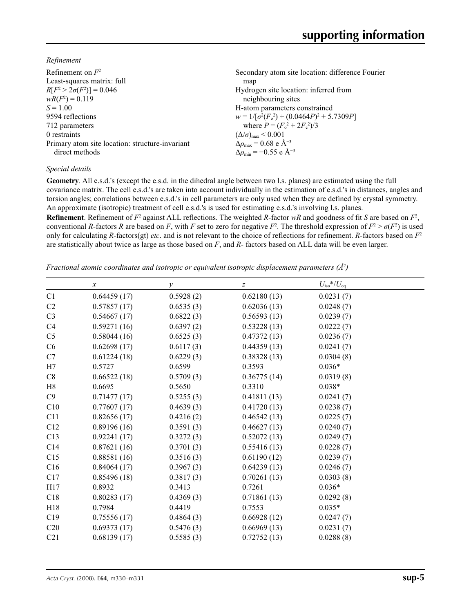*Refinement*

| Refinement on $F^2$                             | Secondary atom site location: difference Fourier  |
|-------------------------------------------------|---------------------------------------------------|
| Least-squares matrix: full                      | map                                               |
| $R[F^2 > 2\sigma(F^2)] = 0.046$                 | Hydrogen site location: inferred from             |
| $wR(F^2) = 0.119$                               | neighbouring sites                                |
| $S = 1.00$                                      | H-atom parameters constrained                     |
| 9594 reflections                                | $w = 1/[\sigma^2(F_0^2) + (0.0464P)^2 + 5.7309P]$ |
| 712 parameters                                  | where $P = (F_0^2 + 2F_c^2)/3$                    |
| 0 restraints                                    | $(\Delta/\sigma)_{\text{max}}$ < 0.001            |
| Primary atom site location: structure-invariant | $\Delta\rho_{\rm max} = 0.68$ e Å <sup>-3</sup>   |
| direct methods                                  | $\Delta\rho_{\rm min} = -0.55$ e Å <sup>-3</sup>  |
|                                                 |                                                   |

## *Special details*

**Geometry**. All e.s.d.'s (except the e.s.d. in the dihedral angle between two l.s. planes) are estimated using the full covariance matrix. The cell e.s.d.'s are taken into account individually in the estimation of e.s.d.'s in distances, angles and torsion angles; correlations between e.s.d.'s in cell parameters are only used when they are defined by crystal symmetry. An approximate (isotropic) treatment of cell e.s.d.'s is used for estimating e.s.d.'s involving l.s. planes.

**Refinement**. Refinement of  $F^2$  against ALL reflections. The weighted *R*-factor  $wR$  and goodness of fit *S* are based on  $F^2$ , conventional *R*-factors *R* are based on *F*, with *F* set to zero for negative  $F^2$ . The threshold expression of  $F^2 > \sigma(F^2)$  is used only for calculating *R*-factors(gt) *etc*. and is not relevant to the choice of reflections for refinement. *R*-factors based on *F*<sup>2</sup> are statistically about twice as large as those based on *F*, and *R*- factors based on ALL data will be even larger.

*Fractional atomic coordinates and isotropic or equivalent isotropic displacement parameters (Å<sup>2</sup>)* 

|                 | $\boldsymbol{x}$ | у         | $\boldsymbol{Z}$ | $U_{\rm iso}$ */ $U_{\rm eq}$ |
|-----------------|------------------|-----------|------------------|-------------------------------|
| C1              | 0.64459(17)      | 0.5928(2) | 0.62180(13)      | 0.0231(7)                     |
| C <sub>2</sub>  | 0.57857(17)      | 0.6535(3) | 0.62036(13)      | 0.0248(7)                     |
| C <sub>3</sub>  | 0.54667(17)      | 0.6822(3) | 0.56593(13)      | 0.0239(7)                     |
| C4              | 0.59271(16)      | 0.6397(2) | 0.53228(13)      | 0.0222(7)                     |
| C <sub>5</sub>  | 0.58044(16)      | 0.6525(3) | 0.47372(13)      | 0.0236(7)                     |
| C6              | 0.62698(17)      | 0.6117(3) | 0.44359(13)      | 0.0241(7)                     |
| C7              | 0.61224(18)      | 0.6229(3) | 0.38328(13)      | 0.0304(8)                     |
| H7              | 0.5727           | 0.6599    | 0.3593           | $0.036*$                      |
| C8              | 0.66522(18)      | 0.5709(3) | 0.36775(14)      | 0.0319(8)                     |
| H8              | 0.6695           | 0.5650    | 0.3310           | $0.038*$                      |
| C9              | 0.71477(17)      | 0.5255(3) | 0.41811(13)      | 0.0241(7)                     |
| C10             | 0.77607(17)      | 0.4639(3) | 0.41720(13)      | 0.0238(7)                     |
| C11             | 0.82656(17)      | 0.4216(2) | 0.46542(13)      | 0.0225(7)                     |
| C12             | 0.89196(16)      | 0.3591(3) | 0.46627(13)      | 0.0240(7)                     |
| C13             | 0.92241(17)      | 0.3272(3) | 0.52072(13)      | 0.0249(7)                     |
| C14             | 0.87621(16)      | 0.3701(3) | 0.55416(13)      | 0.0228(7)                     |
| C15             | 0.88581(16)      | 0.3516(3) | 0.61190(12)      | 0.0239(7)                     |
| C16             | 0.84064(17)      | 0.3967(3) | 0.64239(13)      | 0.0246(7)                     |
| C17             | 0.85496(18)      | 0.3817(3) | 0.70261(13)      | 0.0303(8)                     |
| H17             | 0.8932           | 0.3413    | 0.7261           | $0.036*$                      |
| C18             | 0.80283(17)      | 0.4369(3) | 0.71861(13)      | 0.0292(8)                     |
| H18             | 0.7984           | 0.4419    | 0.7553           | $0.035*$                      |
| C19             | 0.75556(17)      | 0.4864(3) | 0.66928(12)      | 0.0247(7)                     |
| C <sub>20</sub> | 0.69373(17)      | 0.5476(3) | 0.66969(13)      | 0.0231(7)                     |
| C21             | 0.68139(17)      | 0.5585(3) | 0.72752(13)      | 0.0288(8)                     |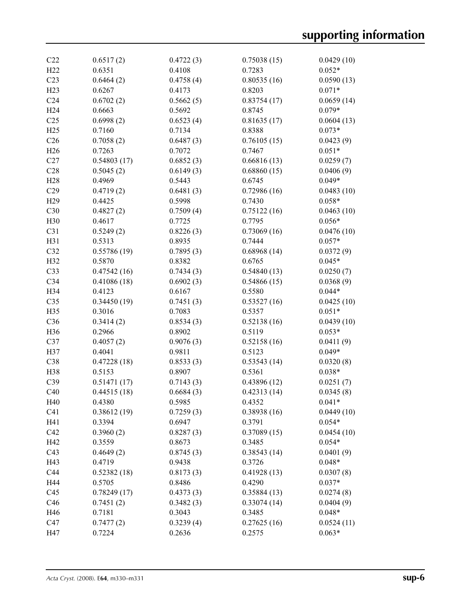| C22             | 0.6517(2)   | 0.4722(3) | 0.75038(15) | 0.0429(10) |
|-----------------|-------------|-----------|-------------|------------|
| H <sub>22</sub> | 0.6351      | 0.4108    | 0.7283      | $0.052*$   |
| C <sub>23</sub> | 0.6464(2)   | 0.4758(4) | 0.80535(16) | 0.0590(13) |
| H23             | 0.6267      | 0.4173    | 0.8203      | $0.071*$   |
| C <sub>24</sub> | 0.6702(2)   | 0.5662(5) | 0.83754(17) | 0.0659(14) |
| H <sub>24</sub> | 0.6663      | 0.5692    | 0.8745      | $0.079*$   |
| C <sub>25</sub> | 0.6998(2)   | 0.6523(4) | 0.81635(17) | 0.0604(13) |
| H25             | 0.7160      | 0.7134    | 0.8388      | $0.073*$   |
| C <sub>26</sub> | 0.7058(2)   | 0.6487(3) | 0.76105(15) | 0.0423(9)  |
| H <sub>26</sub> | 0.7263      | 0.7072    | 0.7467      | $0.051*$   |
| C27             | 0.54803(17) | 0.6852(3) | 0.66816(13) | 0.0259(7)  |
| C28             | 0.5045(2)   | 0.6149(3) | 0.68860(15) | 0.0406(9)  |
| H <sub>28</sub> | 0.4969      | 0.5443    | 0.6745      | $0.049*$   |
| C29             | 0.4719(2)   | 0.6481(3) | 0.72986(16) | 0.0483(10) |
| H <sub>29</sub> | 0.4425      | 0.5998    | 0.7430      | $0.058*$   |
| C30             | 0.4827(2)   | 0.7509(4) | 0.75122(16) | 0.0463(10) |
| H30             | 0.4617      | 0.7725    | 0.7795      | $0.056*$   |
| C31             | 0.5249(2)   | 0.8226(3) | 0.73069(16) | 0.0476(10) |
| H31             | 0.5313      | 0.8935    | 0.7444      | $0.057*$   |
| C32             | 0.55786(19) | 0.7895(3) | 0.68968(14) | 0.0372(9)  |
| H32             | 0.5870      | 0.8382    | 0.6765      | $0.045*$   |
| C33             | 0.47542(16) | 0.7434(3) | 0.54840(13) | 0.0250(7)  |
| C34             | 0.41086(18) | 0.6902(3) | 0.54866(15) | 0.0368(9)  |
| H34             | 0.4123      | 0.6167    | 0.5580      | $0.044*$   |
| C35             | 0.34450(19) | 0.7451(3) | 0.53527(16) | 0.0425(10) |
| H35             | 0.3016      | 0.7083    | 0.5357      | $0.051*$   |
| C36             | 0.3414(2)   | 0.8534(3) | 0.52138(16) | 0.0439(10) |
| H36             | 0.2966      | 0.8902    | 0.5119      | $0.053*$   |
| C37             | 0.4057(2)   | 0.9076(3) | 0.52158(16) | 0.0411(9)  |
| H37             | 0.4041      | 0.9811    | 0.5123      | $0.049*$   |
| C38             | 0.47228(18) | 0.8533(3) | 0.53543(14) | 0.0320(8)  |
| H38             | 0.5153      | 0.8907    | 0.5361      | $0.038*$   |
| C39             | 0.51471(17) | 0.7143(3) | 0.43896(12) | 0.0251(7)  |
| C40             | 0.44515(18) | 0.6684(3) | 0.42313(14) | 0.0345(8)  |
| H40             | 0.4380      | 0.5985    | 0.4352      | $0.041*$   |
| C <sub>41</sub> | 0.38612(19) | 0.7259(3) | 0.38938(16) | 0.0449(10) |
| H41             | 0.3394      | 0.6947    | 0.3791      | $0.054*$   |
| C42             | 0.3960(2)   | 0.8287(3) | 0.37089(15) | 0.0454(10) |
| H42             | 0.3559      | 0.8673    | 0.3485      | $0.054*$   |
| C43             | 0.4649(2)   | 0.8745(3) | 0.38543(14) | 0.0401(9)  |
| H43             | 0.4719      | 0.9438    | 0.3726      | $0.048*$   |
| C44             | 0.52382(18) | 0.8173(3) | 0.41928(13) | 0.0307(8)  |
| H44             | 0.5705      | 0.8486    | 0.4290      | $0.037*$   |
| C45             | 0.78249(17) | 0.4373(3) | 0.35884(13) | 0.0274(8)  |
| C46             | 0.7451(2)   | 0.3482(3) | 0.33074(14) | 0.0404(9)  |
| H46             | 0.7181      | 0.3043    | 0.3485      | $0.048*$   |
| C47             | 0.7477(2)   | 0.3239(4) | 0.27625(16) | 0.0524(11) |
| H47             | 0.7224      | 0.2636    | 0.2575      | $0.063*$   |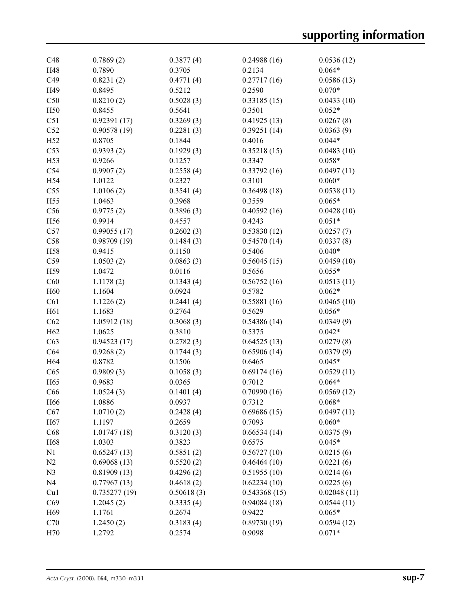| C48             | 0.7869(2)    | 0.3877(4)  | 0.24988(16)  | 0.0536(12)  |
|-----------------|--------------|------------|--------------|-------------|
| H48             | 0.7890       | 0.3705     | 0.2134       | $0.064*$    |
| C49             | 0.8231(2)    | 0.4771(4)  | 0.27717(16)  | 0.0586(13)  |
| H49             | 0.8495       | 0.5212     | 0.2590       | $0.070*$    |
| C50             | 0.8210(2)    | 0.5028(3)  | 0.33185(15)  | 0.0433(10)  |
| H50             | 0.8455       | 0.5641     | 0.3501       | $0.052*$    |
| C51             | 0.92391(17)  | 0.3269(3)  | 0.41925(13)  | 0.0267(8)   |
| C52             | 0.90578(19)  | 0.2281(3)  | 0.39251(14)  | 0.0363(9)   |
| H52             | 0.8705       | 0.1844     | 0.4016       | $0.044*$    |
| C53             | 0.9393(2)    | 0.1929(3)  | 0.35218(15)  | 0.0483(10)  |
| H53             | 0.9266       | 0.1257     | 0.3347       | $0.058*$    |
| C54             | 0.9907(2)    | 0.2558(4)  | 0.33792(16)  | 0.0497(11)  |
| H54             | 1.0122       | 0.2327     | 0.3101       | $0.060*$    |
| C55             | 1.0106(2)    | 0.3541(4)  | 0.36498(18)  | 0.0538(11)  |
| H55             | 1.0463       | 0.3968     | 0.3559       | $0.065*$    |
| C56             | 0.9775(2)    | 0.3896(3)  | 0.40592(16)  | 0.0428(10)  |
| H56             | 0.9914       | 0.4557     | 0.4243       | $0.051*$    |
| C57             | 0.99055(17)  | 0.2602(3)  | 0.53830(12)  | 0.0257(7)   |
| C58             | 0.98709(19)  | 0.1484(3)  | 0.54570(14)  | 0.0337(8)   |
| H58             | 0.9415       | 0.1150     | 0.5406       | $0.040*$    |
| C59             | 1.0503(2)    | 0.0863(3)  | 0.56045(15)  | 0.0459(10)  |
| H59             |              |            | 0.5656       | $0.055*$    |
|                 | 1.0472       | 0.0116     |              |             |
| C60             | 1.1178(2)    | 0.1343(4)  | 0.56752(16)  | 0.0513(11)  |
| H <sub>60</sub> | 1.1604       | 0.0924     | 0.5782       | $0.062*$    |
| C61             | 1.1226(2)    | 0.2441(4)  | 0.55881(16)  | 0.0465(10)  |
| H <sub>61</sub> | 1.1683       | 0.2764     | 0.5629       | $0.056*$    |
| C62             | 1.05912(18)  | 0.3068(3)  | 0.54386(14)  | 0.0349(9)   |
| H <sub>62</sub> | 1.0625       | 0.3810     | 0.5375       | $0.042*$    |
| C63             | 0.94523(17)  | 0.2782(3)  | 0.64525(13)  | 0.0279(8)   |
| C64             | 0.9268(2)    | 0.1744(3)  | 0.65906(14)  | 0.0379(9)   |
| H64             | 0.8782       | 0.1506     | 0.6465       | $0.045*$    |
| C65             | 0.9809(3)    | 0.1058(3)  | 0.69174(16)  | 0.0529(11)  |
| H <sub>65</sub> | 0.9683       | 0.0365     | 0.7012       | $0.064*$    |
| C66             | 1.0524(3)    | 0.1401(4)  | 0.70990(16)  | 0.0569(12)  |
| H66             | 1.0886       | 0.0937     | 0.7312       | $0.068*$    |
| C67             | 1.0710(2)    | 0.2428(4)  | 0.69686(15)  | 0.0497(11)  |
| H <sub>67</sub> | 1.1197       | 0.2659     | 0.7093       | $0.060*$    |
| C68             | 1.01747(18)  | 0.3120(3)  | 0.66534(14)  | 0.0375(9)   |
| H68             | 1.0303       | 0.3823     | 0.6575       | $0.045*$    |
| N1              | 0.65247(13)  | 0.5851(2)  | 0.56727(10)  | 0.0215(6)   |
| N2              | 0.69068(13)  | 0.5520(2)  | 0.46464(10)  | 0.0221(6)   |
| N <sub>3</sub>  | 0.81909(13)  | 0.4296(2)  | 0.51955(10)  | 0.0214(6)   |
| N <sub>4</sub>  | 0.77967(13)  | 0.4618(2)  | 0.62234(10)  | 0.0225(6)   |
| Cu1             | 0.735277(19) | 0.50618(3) | 0.543368(15) | 0.02048(11) |
| C69             | 1.2045(2)    | 0.3335(4)  | 0.94084(18)  | 0.0544(11)  |
| H <sub>69</sub> | 1.1761       | 0.2674     | 0.9422       | $0.065*$    |
| C70             | 1.2450(2)    | 0.3183(4)  | 0.89730(19)  | 0.0594(12)  |
| H70             | 1.2792       | 0.2574     | 0.9098       | $0.071*$    |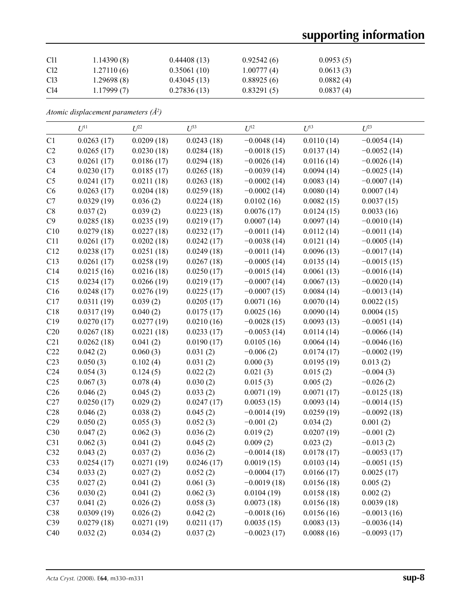# **supporting information**

| C11             | 1.14390(8) | 0.44408(13) | 0.92542(6) | 0.0953(5) |
|-----------------|------------|-------------|------------|-----------|
| C <sub>12</sub> | 1.27110(6) | 0.35061(10) | 1.00777(4) | 0.0613(3) |
| C <sub>13</sub> | 1.29698(8) | 0.43045(13) | 0.88925(6) | 0.0882(4) |
| C14             | 1.17999(7) | 0.27836(13) | 0.83291(5) | 0.0837(4) |

*Atomic displacement parameters (Å2 )*

|                 | $U^{11}$   | $U^{22}$   | $U^{33}$   | $U^{12}$      | $U^{13}$   | $U^{23}$      |
|-----------------|------------|------------|------------|---------------|------------|---------------|
| C1              | 0.0263(17) | 0.0209(18) | 0.0243(18) | $-0.0048(14)$ | 0.0110(14) | $-0.0054(14)$ |
| C2              | 0.0265(17) | 0.0230(18) | 0.0284(18) | $-0.0018(15)$ | 0.0137(14) | $-0.0052(14)$ |
| C <sub>3</sub>  | 0.0261(17) | 0.0186(17) | 0.0294(18) | $-0.0026(14)$ | 0.0116(14) | $-0.0026(14)$ |
| C4              | 0.0230(17) | 0.0185(17) | 0.0265(18) | $-0.0039(14)$ | 0.0094(14) | $-0.0025(14)$ |
| C <sub>5</sub>  | 0.0241(17) | 0.0211(18) | 0.0263(18) | $-0.0002(14)$ | 0.0083(14) | $-0.0007(14)$ |
| C6              | 0.0263(17) | 0.0204(18) | 0.0259(18) | $-0.0002(14)$ | 0.0080(14) | 0.0007(14)    |
| C7              | 0.0329(19) | 0.036(2)   | 0.0224(18) | 0.0102(16)    | 0.0082(15) | 0.0037(15)    |
| $\rm{C}8$       | 0.037(2)   | 0.039(2)   | 0.0223(18) | 0.0076(17)    | 0.0124(15) | 0.0033(16)    |
| C9              | 0.0285(18) | 0.0235(19) | 0.0219(17) | 0.0007(14)    | 0.0097(14) | $-0.0010(14)$ |
| C10             | 0.0279(18) | 0.0227(18) | 0.0232(17) | $-0.0011(14)$ | 0.0112(14) | $-0.0011(14)$ |
| C11             | 0.0261(17) | 0.0202(18) | 0.0242(17) | $-0.0038(14)$ | 0.0121(14) | $-0.0005(14)$ |
| C12             | 0.0238(17) | 0.0251(18) | 0.0249(18) | $-0.0011(14)$ | 0.0096(13) | $-0.0017(14)$ |
| C13             | 0.0261(17) | 0.0258(19) | 0.0267(18) | $-0.0005(14)$ | 0.0135(14) | $-0.0015(15)$ |
| C14             | 0.0215(16) | 0.0216(18) | 0.0250(17) | $-0.0015(14)$ | 0.0061(13) | $-0.0016(14)$ |
| C15             | 0.0234(17) | 0.0266(19) | 0.0219(17) | $-0.0007(14)$ | 0.0067(13) | $-0.0020(14)$ |
| C16             | 0.0248(17) | 0.0276(19) | 0.0225(17) | $-0.0007(15)$ | 0.0084(14) | $-0.0013(14)$ |
| C17             | 0.0311(19) | 0.039(2)   | 0.0205(17) | 0.0071(16)    | 0.0070(14) | 0.0022(15)    |
| C18             | 0.0317(19) | 0.040(2)   | 0.0175(17) | 0.0025(16)    | 0.0090(14) | 0.0004(15)    |
| C19             | 0.0270(17) | 0.0277(19) | 0.0210(16) | $-0.0028(15)$ | 0.0093(13) | $-0.0051(14)$ |
| C20             | 0.0267(18) | 0.0221(18) | 0.0233(17) | $-0.0053(14)$ | 0.0114(14) | $-0.0066(14)$ |
| C21             | 0.0262(18) | 0.041(2)   | 0.0190(17) | 0.0105(16)    | 0.0064(14) | $-0.0046(16)$ |
| C22             | 0.042(2)   | 0.060(3)   | 0.031(2)   | $-0.006(2)$   | 0.0174(17) | $-0.0002(19)$ |
| C <sub>23</sub> | 0.050(3)   | 0.102(4)   | 0.031(2)   | 0.000(3)      | 0.0195(19) | 0.013(2)      |
| C <sub>24</sub> | 0.054(3)   | 0.124(5)   | 0.022(2)   | 0.021(3)      | 0.015(2)   | $-0.004(3)$   |
| C <sub>25</sub> | 0.067(3)   | 0.078(4)   | 0.030(2)   | 0.015(3)      | 0.005(2)   | $-0.026(2)$   |
| C <sub>26</sub> | 0.046(2)   | 0.045(2)   | 0.033(2)   | 0.0071(19)    | 0.0071(17) | $-0.0125(18)$ |
| C27             | 0.0250(17) | 0.029(2)   | 0.0247(17) | 0.0053(15)    | 0.0093(14) | $-0.0014(15)$ |
| C28             | 0.046(2)   | 0.038(2)   | 0.045(2)   | $-0.0014(19)$ | 0.0259(19) | $-0.0092(18)$ |
| C29             | 0.050(2)   | 0.055(3)   | 0.052(3)   | $-0.001(2)$   | 0.034(2)   | 0.001(2)      |
| C30             | 0.047(2)   | 0.062(3)   | 0.036(2)   | 0.019(2)      | 0.0207(19) | $-0.001(2)$   |
| C31             | 0.062(3)   | 0.041(2)   | 0.045(2)   | 0.009(2)      | 0.023(2)   | $-0.013(2)$   |
| C32             | 0.043(2)   | 0.037(2)   | 0.036(2)   | $-0.0014(18)$ | 0.0178(17) | $-0.0053(17)$ |
| C33             | 0.0254(17) | 0.0271(19) | 0.0246(17) | 0.0019(15)    | 0.0103(14) | $-0.0051(15)$ |
| C <sub>34</sub> | 0.033(2)   | 0.027(2)   | 0.052(2)   | $-0.0004(17)$ | 0.0166(17) | 0.0025(17)    |
| C <sub>35</sub> | 0.027(2)   | 0.041(2)   | 0.061(3)   | $-0.0019(18)$ | 0.0156(18) | 0.005(2)      |
| C36             | 0.030(2)   | 0.041(2)   | 0.062(3)   | 0.0104(19)    | 0.0158(18) | 0.002(2)      |
| C37             | 0.041(2)   | 0.026(2)   | 0.058(3)   | 0.0073(18)    | 0.0156(18) | 0.0039(18)    |
| C38             | 0.0309(19) | 0.026(2)   | 0.042(2)   | $-0.0018(16)$ | 0.0156(16) | $-0.0013(16)$ |
| C39             | 0.0279(18) | 0.0271(19) | 0.0211(17) | 0.0035(15)    | 0.0083(13) | $-0.0036(14)$ |
| C40             | 0.032(2)   | 0.034(2)   | 0.037(2)   | $-0.0023(17)$ | 0.0088(16) | $-0.0093(17)$ |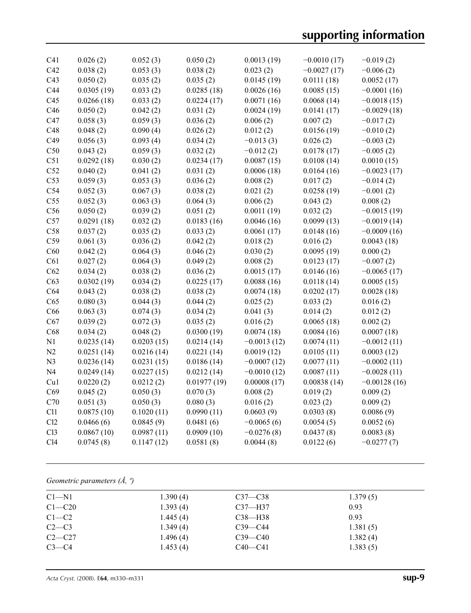| C41             | 0.026(2)   | 0.052(3)   | 0.050(2)    | 0.0013(19)    | $-0.0010(17)$ | $-0.019(2)$    |
|-----------------|------------|------------|-------------|---------------|---------------|----------------|
| C42             | 0.038(2)   | 0.053(3)   | 0.038(2)    | 0.023(2)      | $-0.0027(17)$ | $-0.006(2)$    |
| C43             | 0.050(2)   | 0.035(2)   | 0.035(2)    | 0.0145(19)    | 0.0111(18)    | 0.0052(17)     |
| C44             | 0.0305(19) | 0.033(2)   | 0.0285(18)  | 0.0026(16)    | 0.0085(15)    | $-0.0001(16)$  |
| C45             | 0.0266(18) | 0.033(2)   | 0.0224(17)  | 0.0071(16)    | 0.0068(14)    | $-0.0018(15)$  |
| C46             | 0.050(2)   | 0.042(2)   | 0.031(2)    | 0.0024(19)    | 0.0141(17)    | $-0.0029(18)$  |
| C47             | 0.058(3)   | 0.059(3)   | 0.036(2)    | 0.006(2)      | 0.007(2)      | $-0.017(2)$    |
| C48             | 0.048(2)   | 0.090(4)   | 0.026(2)    | 0.012(2)      | 0.0156(19)    | $-0.010(2)$    |
| C49             | 0.056(3)   | 0.093(4)   | 0.034(2)    | $-0.013(3)$   | 0.026(2)      | $-0.003(2)$    |
| C50             | 0.043(2)   | 0.059(3)   | 0.032(2)    | $-0.012(2)$   | 0.0178(17)    | $-0.005(2)$    |
| C51             | 0.0292(18) | 0.030(2)   | 0.0234(17)  | 0.0087(15)    | 0.0108(14)    | 0.0010(15)     |
| C52             | 0.040(2)   | 0.041(2)   | 0.031(2)    | 0.0006(18)    | 0.0164(16)    | $-0.0023(17)$  |
| C53             | 0.059(3)   | 0.053(3)   | 0.036(2)    | 0.008(2)      | 0.017(2)      | $-0.014(2)$    |
| C54             | 0.052(3)   | 0.067(3)   | 0.038(2)    | 0.021(2)      | 0.0258(19)    | $-0.001(2)$    |
| C55             | 0.052(3)   | 0.063(3)   | 0.064(3)    | 0.006(2)      | 0.043(2)      | 0.008(2)       |
| C56             | 0.050(2)   | 0.039(2)   | 0.051(2)    | 0.0011(19)    | 0.032(2)      | $-0.0015(19)$  |
| C57             | 0.0291(18) | 0.032(2)   | 0.0183(16)  | 0.0046(16)    | 0.0099(13)    | $-0.0019(14)$  |
| C58             | 0.037(2)   | 0.035(2)   | 0.033(2)    | 0.0061(17)    | 0.0148(16)    | $-0.0009(16)$  |
| C59             | 0.061(3)   | 0.036(2)   | 0.042(2)    | 0.018(2)      | 0.016(2)      | 0.0043(18)     |
| C60             | 0.042(2)   | 0.064(3)   | 0.046(2)    | 0.030(2)      | 0.0095(19)    | 0.000(2)       |
| C61             | 0.027(2)   | 0.064(3)   | 0.049(2)    | 0.008(2)      | 0.0123(17)    | $-0.007(2)$    |
| C62             | 0.034(2)   | 0.038(2)   | 0.036(2)    | 0.0015(17)    | 0.0146(16)    | $-0.0065(17)$  |
| C63             | 0.0302(19) | 0.034(2)   | 0.0225(17)  | 0.0088(16)    | 0.0118(14)    | 0.0005(15)     |
| C64             | 0.043(2)   | 0.038(2)   | 0.038(2)    | 0.0074(18)    | 0.0202(17)    | 0.0028(18)     |
| C65             | 0.080(3)   | 0.044(3)   | 0.044(2)    | 0.025(2)      | 0.033(2)      | 0.016(2)       |
| C66             | 0.063(3)   | 0.074(3)   | 0.034(2)    | 0.041(3)      | 0.014(2)      | 0.012(2)       |
| C67             | 0.039(2)   | 0.072(3)   | 0.035(2)    | 0.016(2)      | 0.0065(18)    | 0.002(2)       |
| C68             | 0.034(2)   | 0.048(2)   | 0.0300(19)  | 0.0074(18)    | 0.0084(16)    | 0.0007(18)     |
| N1              | 0.0235(14) | 0.0203(15) | 0.0214(14)  | $-0.0013(12)$ | 0.0074(11)    | $-0.0012(11)$  |
| N2              | 0.0251(14) | 0.0216(14) | 0.0221(14)  | 0.0019(12)    | 0.0105(11)    | 0.0003(12)     |
| N <sub>3</sub>  | 0.0236(14) | 0.0231(15) | 0.0186(14)  | $-0.0007(12)$ | 0.0077(11)    | $-0.0002(11)$  |
| N <sub>4</sub>  | 0.0249(14) | 0.0227(15) | 0.0212(14)  | $-0.0010(12)$ | 0.0087(11)    | $-0.0028(11)$  |
| Cu1             | 0.0220(2)  | 0.0212(2)  | 0.01977(19) | 0.00008(17)   | 0.00838(14)   | $-0.00128(16)$ |
| C69             | 0.045(2)   | 0.050(3)   | 0.070(3)    | 0.008(2)      | 0.019(2)      | 0.009(2)       |
| C70             | 0.051(3)   | 0.050(3)   | 0.080(3)    | 0.016(2)      | 0.023(2)      | 0.009(2)       |
| C11             | 0.0875(10) | 0.1020(11) | 0.0990(11)  | 0.0603(9)     | 0.0303(8)     | 0.0086(9)      |
| Cl2             | 0.0466(6)  | 0.0845(9)  | 0.0481(6)   | $-0.0065(6)$  | 0.0054(5)     | 0.0052(6)      |
| Cl <sub>3</sub> | 0.0867(10) | 0.0987(11) | 0.0909(10)  | $-0.0276(8)$  | 0.0437(8)     | 0.0083(8)      |
| C14             | 0.0745(8)  | 0.1147(12) | 0.0581(8)   | 0.0044(8)     | 0.0122(6)     | $-0.0277(7)$   |
|                 |            |            |             |               |               |                |

*Geometric parameters (Å, º)*

| $C1 - N1$  | 1.390(4) | $C37 - C38$ | 1.379(5) |
|------------|----------|-------------|----------|
| $C1 - C20$ | 1.393(4) | $C37 - H37$ | 0.93     |
| $C1-C2$    | 1.445(4) | C38—H38     | 0.93     |
| $C2-C3$    | 1.349(4) | $C39 - C44$ | 1.381(5) |
| $C2-C27$   | 1.496(4) | $C39 - C40$ | 1.382(4) |
| $C3-C4$    | 1.453(4) | $C40 - C41$ | 1.383(5) |
|            |          |             |          |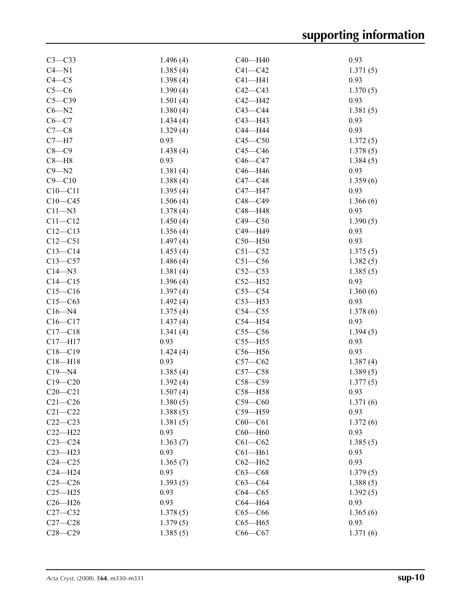| $C3-C33$    | 1.496(4)         | C40-H40     | 0.93             |
|-------------|------------------|-------------|------------------|
| $C4 - N1$   | 1.385(4)         | $C41 - C42$ | 1.371(5)         |
| $C4 - C5$   | 1.398(4)         | $C41 - H41$ | 0.93             |
| $C5-C6$     | 1.390(4)         | $C42 - C43$ | 1.370(5)         |
| $C5 - C39$  | 1.501(4)         | $C42 - H42$ | 0.93             |
| $C6 - N2$   | 1.380(4)         | $C43 - C44$ |                  |
|             |                  |             | 1.381(5)<br>0.93 |
| $C6 - C7$   | 1.434(4)         | $C43 - H43$ |                  |
| $C7-C8$     | 1.329(4)         | C44-H44     | 0.93             |
| $C7 - H7$   | 0.93             | $C45 - C50$ | 1.372(5)         |
| $C8 - C9$   | 1.438(4)         | $C45-C46$   | 1.378(5)         |
| $C8 - H8$   | 0.93             | $C46-C47$   | 1.384(5)         |
| $C9 - N2$   | 1.381(4)         | C46-H46     | 0.93             |
| $C9 - C10$  | 1.388(4)         | $C47 - C48$ | 1.359(6)         |
| $C10 - C11$ | 1.395(4)         | C47-H47     | 0.93             |
| $C10 - C45$ | 1.506(4)         | $C48 - C49$ | 1.366(6)         |
| $C11 - N3$  | 1.378(4)         | $C48 - H48$ | 0.93             |
| $C11 - C12$ | 1.450(4)         | $C49 - C50$ | 1.390(5)         |
| $C12 - C13$ | 1.356(4)         | C49-H49     | 0.93             |
| $C12 - C51$ | 1.497(4)         | $C50 - H50$ | 0.93             |
| $C13-C14$   | 1.453(4)         | $C51 - C52$ | 1.375(5)         |
| $C13-C57$   | 1.486(4)         | $C51 - C56$ | 1.382(5)         |
| $C14 - N3$  | 1.381(4)         | $C52-C53$   | 1.385(5)         |
| $C14 - C15$ | 1.396(4)         | $C52 - H52$ | 0.93             |
| $C15-C16$   | 1.397(4)         | $C53-C54$   | 1.360(6)         |
| $C15-C63$   | 1.492(4)         | $C53 - H53$ | 0.93             |
| $C16 - N4$  | 1.375(4)         | $C54 - C55$ | 1.378(6)         |
| $C16 - C17$ | 1.437(4)         | $C54 - H54$ | 0.93             |
| $C17 - C18$ | 1.341(4)         | $C55-C56$   | 1.394(5)         |
| $C17 - H17$ | 0.93             | $C55 - H55$ | 0.93             |
| $C18 - C19$ | 1.424(4)         | $C56 - H56$ | 0.93             |
| $C18 - H18$ | 0.93             | $C57-C62$   | 1.387(4)         |
| $C19 - N4$  | 1.385(4)         | $C57 - C58$ | 1.389(5)         |
| $C19 - C20$ | 1.392(4)         | $C58 - C59$ | 1.377(5)         |
| $C20-C21$   | 1.507(4)         | $C58 - H58$ | 0.93             |
| $C21 - C26$ | 1.380(5)         | $C59-C60$   | 1.371(6)         |
| $C21 - C22$ | 1.388(5)         | C59-H59     | 0.93             |
| $C22-C23$   |                  | $C60-C61$   |                  |
|             | 1.381(5)<br>0.93 |             | 1.372(6)<br>0.93 |
| $C22-H22$   |                  | $C60 - H60$ |                  |
| $C23-C24$   | 1.363(7)         | $C61 - C62$ | 1.385(5)         |
| $C23 - H23$ | 0.93             | $C61 - H61$ | 0.93             |
| $C24 - C25$ | 1.365(7)         | $C62 - H62$ | 0.93             |
| $C24 - H24$ | 0.93             | $C63-C68$   | 1.379(5)         |
| $C25 - C26$ | 1.393(5)         | $C63-C64$   | 1.388(5)         |
| $C25 - H25$ | 0.93             | $C64 - C65$ | 1.392(5)         |
| $C26 - H26$ | 0.93             | C64-H64     | 0.93             |
| $C27 - C32$ | 1.378(5)         | $C65-C66$   | 1.365(6)         |
| $C27-C28$   | 1.379(5)         | $C65 - H65$ | 0.93             |
| $C28 - C29$ | 1.385(5)         | $C66-C67$   | 1.371(6)         |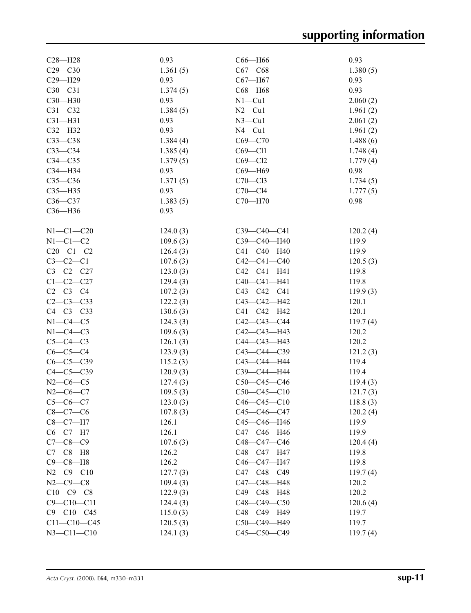| $C29 - C30$<br>1.361(5)<br>$C67 - C68$<br>C29-H29<br>0.93<br>$C67 - H67$<br>$C30 - C31$<br>1.374(5)<br>$C68 - H68$<br>C30-H30<br>0.93<br>$N1 - Cu1$ | 1.380(5)<br>0.93<br>0.93 |
|-----------------------------------------------------------------------------------------------------------------------------------------------------|--------------------------|
|                                                                                                                                                     |                          |
|                                                                                                                                                     |                          |
|                                                                                                                                                     |                          |
|                                                                                                                                                     | 2.060(2)                 |
| $C31 - C32$<br>1.384(5)<br>$N2$ —Cu1                                                                                                                | 1.961(2)                 |
| $C31 - H31$<br>0.93<br>$N3$ –Cu1                                                                                                                    | 2.061(2)                 |
| 0.93<br>$C32-H32$<br>$N4$ –Cu1                                                                                                                      | 1.961(2)                 |
| $C33-C38$<br>$C69 - C70$<br>1.384(4)                                                                                                                | 1.488(6)                 |
| $C33-C34$<br>1.385(4)<br>$C69 - C11$                                                                                                                | 1.748(4)                 |
| $C69 - C12$<br>$C34 - C35$<br>1.379(5)                                                                                                              | 1.779(4)                 |
| $C34 - H34$<br>0.93<br>C69-H69                                                                                                                      | 0.98                     |
| $C35-C36$<br>1.371(5)<br>$C70 - C13$                                                                                                                | 1.734(5)                 |
| 0.93<br>$C70-C14$<br>$C35 - H35$                                                                                                                    | 1.777(5)                 |
| C70-H70<br>$C36-C37$<br>1.383(5)                                                                                                                    | 0.98                     |
| C36-H36<br>0.93                                                                                                                                     |                          |
|                                                                                                                                                     |                          |
| $N1 - C1 - C20$<br>C39-C40-C41<br>124.0(3)                                                                                                          | 120.2(4)                 |
| $N1-C1-C2$<br>109.6(3)<br>C39-C40-H40                                                                                                               | 119.9                    |
| $C20-C1-C2$<br>C41-C40-H40<br>126.4(3)                                                                                                              | 119.9                    |
| $C3-C2-C1$<br>107.6(3)<br>$C42 - C41 - C40$                                                                                                         | 120.5(3)                 |
| $C3 - C2 - C27$<br>123.0(3)<br>$C42 - C41 - H41$                                                                                                    | 119.8                    |
| $C1 - C2 - C27$<br>C40-C41-H41<br>129.4(3)                                                                                                          | 119.8                    |
| $C2-C3-C4$<br>$C43 - C42 - C41$<br>107.2(3)                                                                                                         | 119.9(3)                 |
| $C2 - C3 - C33$<br>C43-C42-H42<br>122.2(3)                                                                                                          | 120.1                    |
| $C4-C3-C33$<br>130.6(3)<br>$C41 - C42 - H42$                                                                                                        | 120.1                    |
| $N1-C4-C5$<br>C42-C43-C44<br>124.3(3)                                                                                                               | 119.7(4)                 |
| $N1-C4-C3$<br>C42-C43-H43<br>109.6(3)                                                                                                               | 120.2                    |
| $C5-C4-C3$<br>C44-C43-H43<br>126.1(3)                                                                                                               | 120.2                    |
| $C6-C5-C4$<br>$C43 - C44 - C39$<br>123.9(3)                                                                                                         | 121.2(3)                 |
| $C6 - C5 - C39$<br>115.2(3)<br>C43-C44-H44                                                                                                          | 119.4                    |
| $C4-C5-C39$<br>120.9(3)<br>C39-C44-H44                                                                                                              | 119.4                    |
| $N2-C6-C5$<br>127.4(3)<br>$C50-C45-C46$                                                                                                             | 119.4(3)                 |
| $N2-C6-C7$<br>$C50-C45-C10$<br>109.5(3)                                                                                                             | 121.7(3)                 |
| $C5-C6-C7$<br>123.0(3)<br>$C46 - C45 - C10$                                                                                                         | 118.8(3)                 |
| 107.8(3)<br>$C8-C7-C6$<br>$C45 - C46 - C47$                                                                                                         | 120.2(4)                 |
| $C8-C7-H7$<br>126.1<br>C45-C46-H46                                                                                                                  | 119.9                    |
| 126.1<br>C47-C46-H46<br>$C6-C7-H7$                                                                                                                  | 119.9                    |
| $C7 - C8 - C9$<br>107.6(3)<br>C48-C47-C46                                                                                                           | 120.4(4)                 |
| $C7-C8-H8$<br>126.2<br>C48-C47-H47                                                                                                                  | 119.8                    |
| $C9-C8-H8$<br>126.2<br>C46-C47-H47                                                                                                                  | 119.8                    |
| $N2 - C9 - C10$<br>127.7(3)<br>$C47 - C48 - C49$                                                                                                    | 119.7(4)                 |
| $N2 - C9 - C8$<br>109.4(3)<br>C47-C48-H48                                                                                                           | 120.2                    |
| $C10-C9-C8$<br>122.9(3)<br>C49-C48-H48                                                                                                              | 120.2                    |
| $C9 - C10 - C11$<br>$C48 - C49 - C50$<br>124.4(3)                                                                                                   | 120.6(4)                 |
| $C9 - C10 - C45$<br>115.0(3)<br>C48-C49-H49                                                                                                         | 119.7                    |
| $C11 - C10 - C45$<br>C50-C49-H49<br>120.5(3)                                                                                                        | 119.7                    |
| $N3 - C11 - C10$<br>C45-C50-C49<br>124.1(3)                                                                                                         | 119.7(4)                 |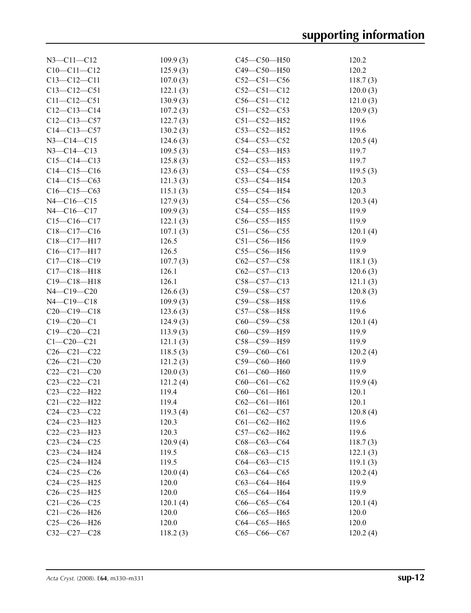| $N3 - C11 - C12$  | 109.9(3) | $C45 - C50 - H50$ | 120.2    |
|-------------------|----------|-------------------|----------|
| $C10-C11-C12$     | 125.9(3) | C49-C50-H50       | 120.2    |
| $C13 - C12 - C11$ | 107.0(3) | $C52 - C51 - C56$ | 118.7(3) |
| $C13 - C12 - C51$ | 122.1(3) | $C52-C51-C12$     | 120.0(3) |
| $C11 - C12 - C51$ | 130.9(3) | $C56 - C51 - C12$ | 121.0(3) |
| $C12-C13-C14$     | 107.2(3) | $C51 - C52 - C53$ | 120.9(3) |
| $C12-C13-C57$     | 122.7(3) | $C51 - C52 - H52$ | 119.6    |
| $C14-C13-C57$     | 130.2(3) | $C53 - C52 - H52$ | 119.6    |
| $N3 - C14 - C15$  | 124.6(3) | $C54 - C53 - C52$ | 120.5(4) |
| $N3 - C14 - C13$  | 109.5(3) | $C54 - C53 - H53$ | 119.7    |
| $C15-C14-C13$     | 125.8(3) | $C52-C53-H53$     | 119.7    |
| $C14 - C15 - C16$ | 123.6(3) | $C53-C54-C55$     | 119.5(3) |
| $C14-C15-C63$     | 121.3(3) | $C53-C54-H54$     | 120.3    |
| $C16-C15-C63$     | 115.1(3) | $C55-C54-H54$     | 120.3    |
| $N4 - C16 - C15$  | 127.9(3) | $C54 - C55 - C56$ | 120.3(4) |
| $N4 - C16 - C17$  | 109.9(3) | $C54-C55-H55$     | 119.9    |
| $C15-C16-C17$     | 122.1(3) | $C56-C55-H55$     | 119.9    |
| $C18-C17-C16$     | 107.1(3) | $C51 - C56 - C55$ | 120.1(4) |
| C18-C17-H17       | 126.5    | $C51 - C56 - H56$ | 119.9    |
| $C16 - C17 - H17$ | 126.5    | $C55-C56-H56$     | 119.9    |
| $C17 - C18 - C19$ | 107.7(3) | $C62-C57-C58$     | 118.1(3) |
| $C17 - C18 - H18$ | 126.1    | $C62-C57-C13$     | 120.6(3) |
| $C19 - C18 - H18$ | 126.1    | $C58 - C57 - C13$ | 121.1(3) |
| $N4 - C19 - C20$  | 126.6(3) | $C59 - C58 - C57$ | 120.8(3) |
| $N4 - C19 - C18$  | 109.9(3) | C59-C58-H58       | 119.6    |
| $C20-C19-C18$     | 123.6(3) | $C57 - C58 - H58$ | 119.6    |
| $C19 - C20 - C1$  | 124.9(3) | $C60-C59-C58$     | 120.1(4) |
| $C19 - C20 - C21$ | 113.9(3) | C60-C59-H59       | 119.9    |
| $C1 - C20 - C21$  | 121.1(3) | C58-C59-H59       | 119.9    |
| $C26 - C21 - C22$ | 118.5(3) | $C59-C60-C61$     | 120.2(4) |
| $C26 - C21 - C20$ | 121.2(3) | C59-C60-H60       | 119.9    |
| $C22-C21-C20$     | 120.0(3) | $C61 - C60 - H60$ | 119.9    |
| $C23-C22-C21$     | 121.2(4) | $C60-C61-C62$     | 119.9(4) |
| C23-C22-H22       | 119.4    | $C60 - C61 - H61$ | 120.1    |
| $C21 - C22 - H22$ | 119.4    | $C62-C61-H61$     | 120.1    |
| $C24 - C23 - C22$ | 119.3(4) | $C61 - C62 - C57$ | 120.8(4) |
| C24-C23-H23       | 120.3    | $C61 - C62 - H62$ | 119.6    |
| $C22-C23-H23$     | 120.3    | $C57-C62-H62$     | 119.6    |
| $C23-C24-C25$     | 120.9(4) | $C68-C63-C64$     | 118.7(3) |
| C23-C24-H24       | 119.5    | $C68 - C63 - C15$ | 122.1(3) |
| $C25-C24-H24$     | 119.5    | $C64 - C63 - C15$ | 119.1(3) |
| $C24-C25-C26$     | 120.0(4) | $C63-C64-C65$     | 120.2(4) |
| $C24 - C25 - H25$ | 120.0    | С63-С64-Н64       | 119.9    |
| $C26-C25-H25$     | 120.0    | $C65-C64 - H64$   | 119.9    |
| $C21 - C26 - C25$ | 120.1(4) | $C66-C65-C64$     | 120.1(4) |
| $C21 - C26 - H26$ | 120.0    | $C66-C65-H65$     | 120.0    |
| $C25-C26-H26$     | 120.0    | $C64-C65-H65$     | 120.0    |
| C32-C27-C28       | 118.2(3) | $C65-C66-C67$     | 120.2(4) |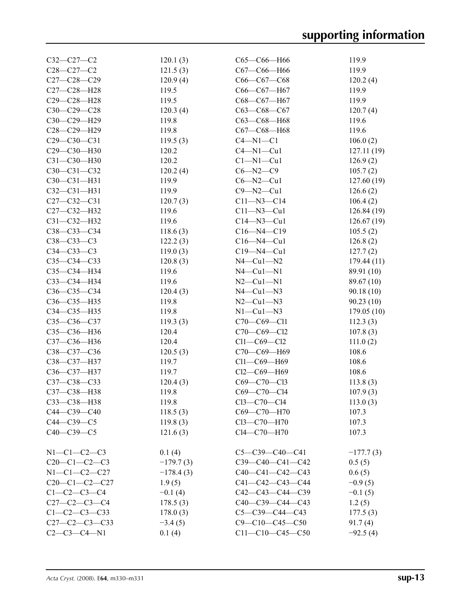| $C32-C27-C2$         | 120.1(3)    | $C65-C66-H66$           | 119.9       |
|----------------------|-------------|-------------------------|-------------|
| $C28 - C27 - C2$     | 121.5(3)    | $C67-C66 - H66$         | 119.9       |
| $C27 - C28 - C29$    | 120.9(4)    | $C66-C67-C68$           | 120.2(4)    |
| $C27 - C28 - H28$    | 119.5       |                         | 119.9       |
|                      |             | $C66-C67-H67$           |             |
| $C29 - C28 - H28$    | 119.5       | C68-C67-H67             | 119.9       |
| $C30 - C29 - C28$    | 120.3(4)    | $C63-C68-C67$           | 120.7(4)    |
| C30-C29-H29          | 119.8       | C63-C68-H68             | 119.6       |
| $C28 - C29 - H29$    | 119.8       | $C67 - C68 - H68$       | 119.6       |
| $C29 - C30 - C31$    | 119.5(3)    | $C4 - N1 - C1$          | 106.0(2)    |
| C29-C30-H30          | 120.2       | $C4 - N1 - Cu1$         | 127.11(19)  |
| $C31 - C30 - H30$    | 120.2       | $Cl-M1-Cu1$             | 126.9(2)    |
| $C30 - C31 - C32$    | 120.2(4)    | $C6 - N2 - C9$          | 105.7(2)    |
| $C30 - C31 - H31$    | 119.9       | $C6 - N2 - Cu1$         | 127.60(19)  |
| $C32 - C31 - H31$    | 119.9       | $C9 - N2 - Cu1$         | 126.6(2)    |
| $C27 - C32 - C31$    | 120.7(3)    | $C11 - N3 - C14$        | 106.4(2)    |
| C27-C32-H32          | 119.6       | $C11 - N3 - Cu1$        | 126.84(19)  |
| $C31 - C32 - H32$    | 119.6       | $C14 - N3 - Cu1$        | 126.67(19)  |
| C38-C33-C34          | 118.6(3)    | $C16 - N4 - C19$        | 105.5(2)    |
| $C38 - C33 - C3$     | 122.2(3)    | $C16 - N4 - Cu1$        | 126.8(2)    |
| C34-C33-C3           | 119.0(3)    | $C19 - N4 - Cu1$        | 127.7(2)    |
| $C35-C34-C33$        | 120.8(3)    | $N4$ — $Cu1$ — $N2$     | 179.44 (11) |
| C35-C34-H34          | 119.6       | $N4$ — $Cu1$ — $N1$     | 89.91 (10)  |
| $C33-C34 - H34$      | 119.6       | $N2-Cu1-N1$             | 89.67 (10)  |
| $C36 - C35 - C34$    | 120.4(3)    | $N4$ — $Cu1$ — $N3$     | 90.18(10)   |
| C36-C35-H35          | 119.8       | $N2-Cu1-N3$             | 90.23(10)   |
|                      |             |                         |             |
| C34-C35-H35          | 119.8       | $N1-Cu1-N3$             | 179.05(10)  |
| $C35 - C36 - C37$    | 119.3(3)    | $C70-C69-C11$           | 112.3(3)    |
| C35-C36-H36          | 120.4       | C70-C69-Cl2             | 107.8(3)    |
| C37-C36-H36          | 120.4       | $Cl1-C69-C12$           | 111.0(2)    |
| C38-C37-C36          | 120.5(3)    | С70-С69-Н69             | 108.6       |
| C38-C37-H37          | 119.7       | Cl1-C69-H69             | 108.6       |
| C36-C37-H37          | 119.7       | $Cl2-C69-H69$           | 108.6       |
| C37-C38-C33          | 120.4(3)    | C69-C70-Cl3             | 113.8(3)    |
| C37-C38-H38          | 119.8       | C69-C70-Cl4             | 107.9(3)    |
| C33—C38—H38          | 119.8       | $C13 - C70 - C14$       | 113.0(3)    |
| $C44-C39-C40$        | 118.5(3)    | C69-C70-H70             | 107.3       |
| $C44-C39-C5$         | 119.8(3)    | Cl3-C70-H70             | 107.3       |
| $C40 - C39 - C5$     | 121.6(3)    | Cl4-C70-H70             | 107.3       |
| $N1 - C1 - C2 - C3$  | 0.1(4)      | $C5 - C39 - C40 - C41$  | $-177.7(3)$ |
| $C20-C1-C2-C3$       | $-179.7(3)$ | C39-C40-C41-C42         | 0.5(5)      |
| $N1-C1-C2-C27$       | $-178.4(3)$ | $C40-C41-C42-C43$       | 0.6(5)      |
| $C20-C1-C2-C27$      | 1.9(5)      | $C41 - C42 - C43 - C44$ | $-0.9(5)$   |
| $C1 - C2 - C3 - C4$  | $-0.1(4)$   |                         |             |
|                      |             | $C42-C43-C44-C39$       | $-0.1(5)$   |
| $C27-C2-C3-C4$       | 178.5(3)    | C40-C39-C44-C43         | 1.2(5)      |
| $C1 - C2 - C3 - C33$ | 178.0(3)    | $C5 - C39 - C44 - C43$  | 177.5(3)    |
| $C27-C2-C3-C33$      | $-3.4(5)$   | $C9 - C10 - C45 - C50$  | 91.7(4)     |
| $C2-C3-C4-N1$        | 0.1(4)      | $C11-C10-C45-C50$       | $-92.5(4)$  |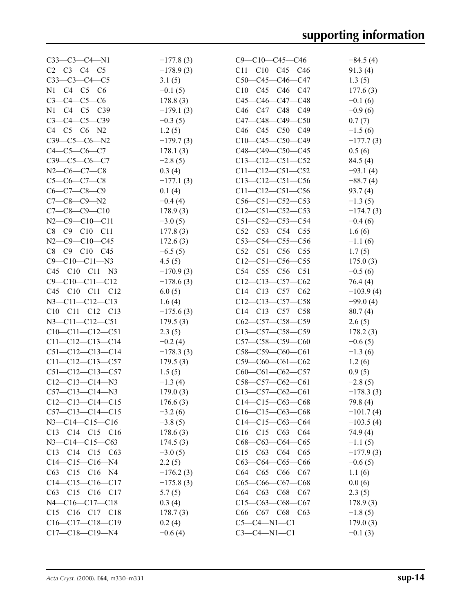| $C33-C3-C4-N1$              | $-177.8(3)$ | $C9 - C10 - C45 - C46$ | $-84.5(4)$  |
|-----------------------------|-------------|------------------------|-------------|
| $C2-C3-C4-C5$               | $-178.9(3)$ | $C11-C10-C45-C46$      | 91.3(4)     |
| $C33-C3-C4-C5$              | 3.1(5)      | $C50-C45-C46-C47$      | 1.3(5)      |
| $N1 - C4 - C5 - C6$         | $-0.1(5)$   | $C10-C45-C46-C47$      | 177.6(3)    |
| $C3 - C4 - C5 - C6$         | 178.8(3)    | $C45-C46-C47-C48$      | $-0.1(6)$   |
| $N1 - C4 - C5 - C39$        | $-179.1(3)$ | $C46-C47-C48-C49$      | $-0.9(6)$   |
| $C3-C4-C5-C39$              | $-0.3(5)$   | $C47-C48-C49-C50$      | 0.7(7)      |
| $C4-C5-C6-N2$               | 1.2(5)      | $C46-C45-C50-C49$      | $-1.5(6)$   |
| $C39-C5-C6-N2$              | $-179.7(3)$ | $C10-C45-C50-C49$      | $-177.7(3)$ |
| $C4 - C5 - C6 - C7$         | 178.1(3)    | $C48-C49-C50-C45$      | 0.5(6)      |
| $C39-C5-C6-C7$              | $-2.8(5)$   | $C13-C12-C51-C52$      | 84.5(4)     |
| $N2-C6-C7-C8$               | 0.3(4)      | $C11-C12-C51-C52$      | $-93.1(4)$  |
| $C5-C6-C7-C8$               | $-177.1(3)$ | $C13-C12-C51-C56$      | $-88.7(4)$  |
| $C6-C7-C8-C9$               | 0.1(4)      | $C11-C12-C51-C56$      | 93.7(4)     |
| $C7-C8-C9-N2$               | $-0.4(4)$   | $C56-C51-C52-C53$      | $-1.3(5)$   |
| $C7-C8-C9-C10$              | 178.9(3)    | $C12-C51-C52-C53$      | $-174.7(3)$ |
| $N2-C9-C10-C11$             | $-3.0(5)$   | $C51-C52-C53-C54$      | $-0.4(6)$   |
| $C8-C9-C10-C11$             | 177.8(3)    | $C52-C53-C54-C55$      | 1.6(6)      |
| $N2$ — $C9$ — $C10$ — $C45$ | 172.6(3)    | $C53-C54-C55-C56$      | $-1.1(6)$   |
| $C8 - C9 - C10 - C45$       | $-6.5(5)$   | $C52-C51-C56-C55$      | 1.7(5)      |
| $C9 - C10 - C11 - N3$       | 4.5(5)      | $C12-C51-C56-C55$      | 175.0(3)    |
| $C45-C10-C11-N3$            | $-170.9(3)$ | $C54-C55-C56-C51$      | $-0.5(6)$   |
| $C9 - C10 - C11 - C12$      | $-178.6(3)$ | $C12-C13-C57-C62$      | 76.4(4)     |
| $C45-C10-C11-C12$           | 6.0(5)      | $C14-C13-C57-C62$      | $-103.9(4)$ |
| $N3 - C11 - C12 - C13$      | 1.6(4)      | $C12-C13-C57-C58$      | $-99.0(4)$  |
| $C10-C11-C12-C13$           | $-175.6(3)$ | $C14-C13-C57-C58$      | 80.7(4)     |
| $N3 - C11 - C12 - C51$      | 179.5(3)    | $C62-C57-C58-C59$      | 2.6(5)      |
| $C10-C11-C12-C51$           | 2.3(5)      | $C13-C57-C58-C59$      | 178.2(3)    |
| $C11-C12-C13-C14$           | $-0.2(4)$   | $C57-C58-C59-C60$      | $-0.6(5)$   |
| $C51-C12-C13-C14$           | $-178.3(3)$ | $C58-C59-C60-C61$      | $-1.3(6)$   |
| $C11-C12-C13-C57$           | 179.5(3)    | $C59-C60-C61-C62$      | 1.2(6)      |
| $C51-C12-C13-C57$           | 1.5(5)      | $C60-C61-C62-C57$      | 0.9(5)      |
| $C12-C13-C14-N3$            | $-1.3(4)$   | $C58-C57-C62-C61$      | $-2.8(5)$   |
| $C57-C13-C14-N3$            | 179.0(3)    | $C13-C57-C62-C61$      | $-178.3(3)$ |
| $C12-C13-C14-C15$           | 176.6(3)    | $C14-C15-C63-C68$      | 79.8 (4)    |
| $C57-C13-C14-C15$           | $-3.2(6)$   | $C16-C15-C63-C68$      | $-101.7(4)$ |
| $N3 - C14 - C15 - C16$      | $-3.8(5)$   | $C14-C15-C63-C64$      | $-103.5(4)$ |
| $C13-C14-C15-C16$           | 178.6(3)    | $C16-C15-C63-C64$      | 74.9(4)     |
| $N3 - C14 - C15 - C63$      | 174.5(3)    | $C68-C63-C64-C65$      | $-1.1(5)$   |
| $C13-C14-C15-C63$           | $-3.0(5)$   | $C15-C63-C64-C65$      | $-177.9(3)$ |
| $C14-C15-C16-N4$            | 2.2(5)      | $C63-C64-C65-C66$      | $-0.6(5)$   |
| $C63 - C15 - C16 - N4$      | $-176.2(3)$ | $C64-C65-C66-C67$      | 1.1(6)      |
| $C14-C15-C16-C17$           | $-175.8(3)$ | $C65-C66-C67-C68$      | 0.0(6)      |
| $C63-C15-C16-C17$           | 5.7(5)      | $C64-C63-C68-C67$      | 2.3(5)      |
| $N4 - C16 - C17 - C18$      | 0.3(4)      | $C15-C63-C68-C67$      | 178.9(3)    |
| $C15-C16-C17-C18$           | 178.7(3)    | $C66-C67-C68-C63$      | $-1.8(5)$   |
| $C16-C17-C18-C19$           | 0.2(4)      | $C5-C4-N1-C1$          | 179.0(3)    |
| $C17-C18-C19-N4$            | $-0.6(4)$   | $C3-C4-N1-C1$          | $-0.1(3)$   |
|                             |             |                        |             |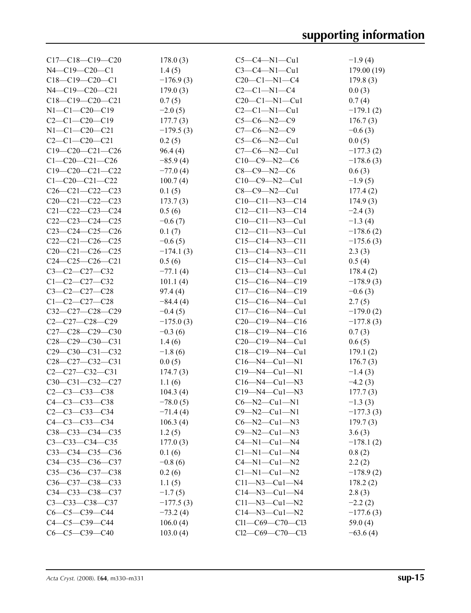| $C17-C18-C19-C20$       | 178.0(3)    | $C5-C4-M1-Cu1$          | $-1.9(4)$   |
|-------------------------|-------------|-------------------------|-------------|
| $N4 - C19 - C20 - C1$   | 1.4(5)      | $C3-C4-N1-Cu1$          | 179.00(19)  |
| $C18-C19-C20-C1$        | $-176.9(3)$ | $C20-C1-N1-C4$          | 179.8(3)    |
| $N4 - C19 - C20 - C21$  | 179.0(3)    | $C2-C1-N1-C4$           | 0.0(3)      |
| $C18-C19-C20-C21$       | 0.7(5)      | $C20-C1-N1-Cu1$         | 0.7(4)      |
| $N1-C1-C20-C19$         | $-2.0(5)$   | $C2-C1-M1-Cu1$          | $-179.1(2)$ |
| $C2-C1-C20-C19$         | 177.7(3)    | $C5-C6-N2-C9$           | 176.7(3)    |
| $N1-C1-C20-C21$         | $-179.5(3)$ | $C7-C6-N2-C9$           | $-0.6(3)$   |
| $C2-C1-C20-C21$         | 0.2(5)      | $C5-C6-N2-Cu1$          | 0.0(5)      |
| $C19-C20-C21-C26$       | 96.4(4)     | $C7-C6-N2-Cu1$          | $-177.3(2)$ |
| $C1 - C20 - C21 - C26$  | $-85.9(4)$  | $C10-C9-N2-C6$          | $-178.6(3)$ |
| $C19-C20-C21-C22$       | $-77.0(4)$  | $C8-C9-N2-C6$           | 0.6(3)      |
| $C1 - C20 - C21 - C22$  | 100.7(4)    | $C10-C9-M2-Cu1$         | $-1.9(5)$   |
| $C26-C21-C22-C23$       | 0.1(5)      | $C8-C9-N2-Cu1$          | 177.4(2)    |
| $C20-C21-C22-C23$       | 173.7(3)    | $C10-C11-N3-C14$        | 174.9(3)    |
|                         |             | $C12-C11-N3-C14$        |             |
| $C21 - C22 - C23 - C24$ | 0.5(6)      |                         | $-2.4(3)$   |
| $C22-C23-C24-C25$       | $-0.6(7)$   | $C10-C11-N3-Cu1$        | $-1.3(4)$   |
| $C23-C24-C25-C26$       | 0.1(7)      | $C12-C11-N3-Cu1$        | $-178.6(2)$ |
| $C22-C21-C26-C25$       | $-0.6(5)$   | $C15-C14-N3-C11$        | $-175.6(3)$ |
| $C20-C21-C26-C25$       | $-174.1(3)$ | $C13 - C14 - N3 - C11$  | 2.3(3)      |
| $C24-C25-C26-C21$       | 0.5(6)      | $C15-C14-N3-Cu1$        | 0.5(4)      |
| $C3-C2-C27-C32$         | $-77.1(4)$  | $C13 - C14 - N3 - C u1$ | 178.4(2)    |
| $C1-C2-C27-C32$         | 101.1(4)    | $C15-C16-M4-C19$        | $-178.9(3)$ |
| $C3 - C2 - C27 - C28$   | 97.4(4)     | $C17-C16-M4-C19$        | $-0.6(3)$   |
| $C1-C2-C27-C28$         | $-84.4(4)$  | $C15-C16-M4-Cu1$        | 2.7(5)      |
| $C32-C27-C28-C29$       | $-0.4(5)$   | $C17-C16-M4-Cu1$        | $-179.0(2)$ |
| $C2-C27-C28-C29$        | $-175.0(3)$ | $C20-C19-M4-C16$        | $-177.8(3)$ |
| $C27-C28-C29-C30$       | $-0.3(6)$   | $C18-C19-M4-C16$        | 0.7(3)      |
| $C28-C29-C30-C31$       | 1.4(6)      | $C20-C19-M4-Cu1$        | 0.6(5)      |
| $C29-C30-C31-C32$       | $-1.8(6)$   | $C18-C19-M4-Cu1$        | 179.1(2)    |
| $C28-C27-C32-C31$       | 0.0(5)      | $C16 - N4 - Cu1 - N1$   | 176.7(3)    |
| $C2-C27-C32-C31$        | 174.7(3)    | $C19 - N4 - Cu1 - N1$   | $-1.4(3)$   |
| $C30-C31-C32-C27$       | 1.1(6)      | $C16 - N4 - Cu1 - N3$   | $-4.2(3)$   |
| $C2 - C3 - C33 - C38$   | 104.3(4)    | $C19 - N4 - Cu1 - N3$   | 177.7(3)    |
| C4-C3-C33-C38           | $-78.0(5)$  | $C6 - N2 - Cu1 - N1$    | $-1.3(3)$   |
| $C2 - C3 - C33 - C34$   | $-71.4(4)$  | $C9 - N2 - Cu1 - N1$    | $-177.3(3)$ |
| $C4 - C3 - C33 - C34$   | 106.3(4)    | $C6 - N2 - Cu1 - N3$    | 179.7(3)    |
| $C38 - C33 - C34 - C35$ | 1.2(5)      | $C9 - N2 - Cu1 - N3$    | 3.6(3)      |
| $C3 - C33 - C34 - C35$  | 177.0(3)    | $C4 - N1 - Cu1 - N4$    | $-178.1(2)$ |
| $C33-C34-C35-C36$       | 0.1(6)      | $Cl-M1-Cu1-M4$          | 0.8(2)      |
| $C34 - C35 - C36 - C37$ | $-0.8(6)$   | $C4 - N1 - Cu1 - N2$    | 2.2(2)      |
| C35-C36-C37-C38         | 0.2(6)      | $Cl-M1-Cu1-N2$          | $-178.9(2)$ |
| C36-C37-C38-C33         | 1.1(5)      | $C11 - N3 - Cu1 - N4$   | 178.2(2)    |
| $C34 - C33 - C38 - C37$ | $-1.7(5)$   | $C14 - N3 - Cu1 - N4$   | 2.8(3)      |
| $C3 - C33 - C38 - C37$  | $-177.5(3)$ | $C11 - N3 - Cu1 - N2$   | $-2.2(2)$   |
| $C6-C5-C39-C44$         | $-73.2(4)$  | $C14 - N3 - Cu1 - N2$   | $-177.6(3)$ |
| $C4-C5-C39-C44$         | 106.0(4)    | $Cl1-C69-C70-C13$       | 59.0 $(4)$  |
| $C6-C5-C39-C40$         | 103.0(4)    | $Cl2-C69-C70-C13$       | $-63.6(4)$  |
|                         |             |                         |             |